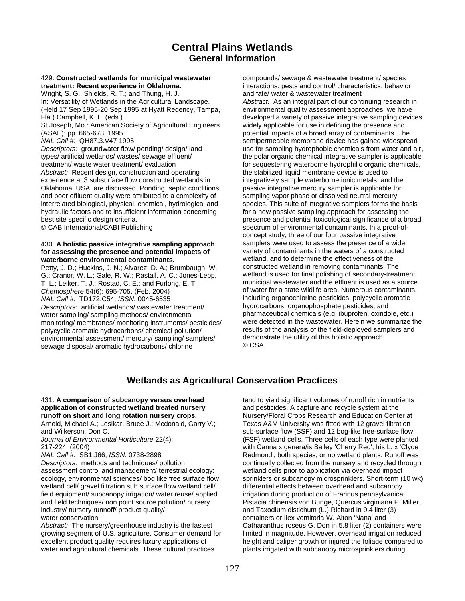# **Central Plains Wetlands General Information**

#### 429. **Constructed wetlands for municipal wastewater treatment: Recent experience in Oklahoma.**

Wright, S. G.; Shields, R. T.; and Thung, H. J. In: Versatility of Wetlands in the Agricultural Landscape. (Held 17 Sep 1995-20 Sep 1995 at Hyatt Regency, Tampa, Fla.) Campbell, K. L. (eds.)

St Joseph, Mo.: American Society of Agricultural Engineers (ASAE); pp. 665-673; 1995.

*NAL Call #:* QH87.3.V47 1995

*Descriptors:* groundwater flow/ ponding/ design/ land types/ artificial wetlands/ wastes/ sewage effluent/ treatment/ waste water treatment/ evaluation *Abstract:* Recent design, construction and operating experience at 3 subsurface flow constructed wetlands in Oklahoma, USA, are discussed. Ponding, septic conditions and poor effluent quality were attributed to a complexity of interrelated biological, physical, chemical, hydrological and hydraulic factors and to insufficient information concerning best site specific design criteria.

© CAB International/CABI Publishing

### 430. **A holistic passive integrative sampling approach for assessing the presence and potential impacts of waterborne environmental contaminants.**

Petty, J. D.; Huckins, J. N.; Alvarez, D. A.; Brumbaugh, W. G.; Cranor, W. L.; Gale, R. W.; Rastall, A. C.; Jones-Lepp, T. L.; Leiker, T. J.; Rostad, C. E.; and Furlong, E. T. *Chemosphere* 54(6): 695-705. (Feb. 2004) *NAL Call #:* TD172.C54; *ISSN:* 0045-6535 *Descriptors:* artificial wetlands/ wastewater treatment/ water sampling/ sampling methods/ environmental monitoring/ membranes/ monitoring instruments/ pesticides/ polycyclic aromatic hydrocarbons/ chemical pollution/ environmental assessment/ mercury/ sampling/ samplers/ sewage disposal/ aromatic hydrocarbons/ chlorine

compounds/ sewage & wastewater treatment/ species interactions: pests and control/ characteristics, behavior and fate/ water & wastewater treatment *Abstract:* As an integral part of our continuing research in environmental quality assessment approaches, we have developed a variety of passive integrative sampling devices widely applicable for use in defining the presence and potential impacts of a broad array of contaminants. The semipermeable membrane device has gained widespread use for sampling hydrophobic chemicals from water and air, the polar organic chemical integrative sampler is applicable for sequestering waterborne hydrophilic organic chemicals, the stabilized liquid membrane device is used to integratively sample waterborne ionic metals, and the passive integrative mercury sampler is applicable for sampling vapor phase or dissolved neutral mercury species. This suite of integrative samplers forms the basis for a new passive sampling approach for assessing the presence and potential toxicological significance of a broad spectrum of environmental contaminants. In a proof-ofconcept study, three of our four passive integrative samplers were used to assess the presence of a wide variety of contaminants in the waters of a constructed wetland, and to determine the effectiveness of the constructed wetland in removing contaminants. The wetland is used for final polishing of secondary-treatment municipal wastewater and the effluent is used as a source of water for a state wildlife area. Numerous contaminants, including organochlorine pesticides, polycyclic aromatic hydrocarbons, organophosphate pesticides, and pharmaceutical chemicals (e.g. ibuprofen, oxindole, etc.) were detected in the wastewater. Herein we summarize the results of the analysis of the field-deployed samplers and demonstrate the utility of this holistic approach. © CSA

## **Wetlands as Agricultural Conservation Practices**

### 431. **A comparison of subcanopy versus overhead application of constructed wetland treated nursery runoff on short and long rotation nursery crops.**

Arnold, Michael A.; Lesikar, Bruce J.; Mcdonald, Garry V.; and Wilkerson, Don C.

*Journal of Environmental Horticulture* 22(4): 217-224. (2004)

*NAL Call #:* SB1.J66; *ISSN:* 0738-2898

*Descriptors:* methods and techniques/ pollution assessment control and management/ terrestrial ecology: ecology, environmental sciences/ bog like free surface flow wetland cell/ gravel filtration sub surface flow wetland cell/ field equipment/ subcanopy irrigation/ water reuse/ applied and field techniques/ non point source pollution/ nursery industry/ nursery runnoff/ product quality/ water conservation

*Abstract:* The nursery/greenhouse industry is the fastest growing segment of U.S. agriculture. Consumer demand for excellent product quality requires luxury applications of water and agricultural chemicals. These cultural practices

tend to yield significant volumes of runoff rich in nutrients and pesticides. A capture and recycle system at the Nursery/Floral Crops Research and Education Center at Texas A&M University was fitted with 12 gravel filtration sub-surface flow (SSF) and 12 bog-like free-surface flow (FSF) wetland cells. Three cells of each type were planted with Canna x genera/is Bailey 'Cherry Red', Iris L. x 'Clyde Redmond', both species, or no wetland plants. Runoff was continually collected from the nursery and recycled through wetland cells prior to application via overhead impact sprinklers or subcanopy microsprinklers. Short-term (10 wk) differential effects between overhead and subcanopy irrigation during production of Frarinus pennsylvanica, Pistacia chinensis von Bunge, Quercus virginiana P. Miller, and Taxodium distichum (L.) Richard in 9.4 liter (3) containers or Ilex vomitoria W. Aiton 'Nana' and Catharanthus roseus G. Don in 5.8 liter (2) containers were limited in magnitude. However, overhead irrigation reduced height and caliper growth or injured the foliage compared to plants irrigated with subcanopy microsprinklers during